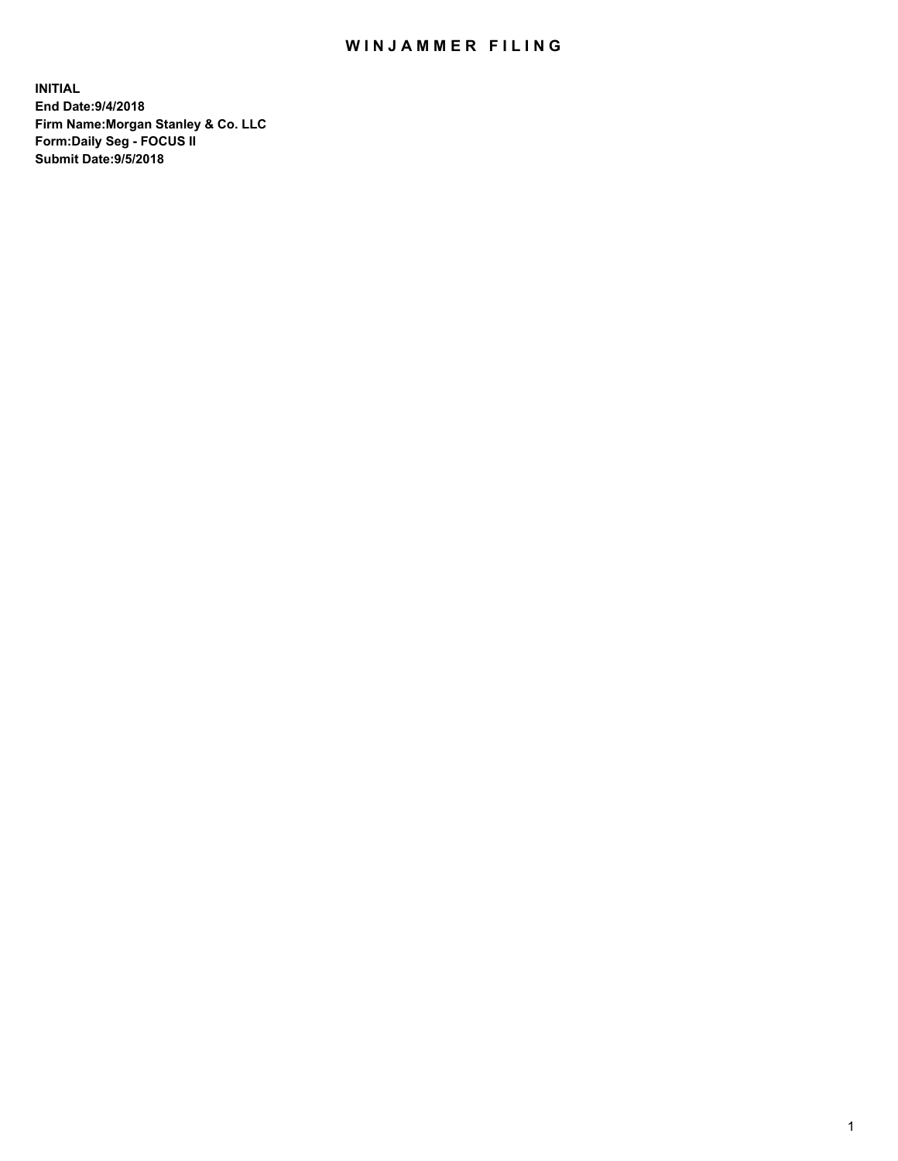## WIN JAMMER FILING

**INITIAL End Date:9/4/2018 Firm Name:Morgan Stanley & Co. LLC Form:Daily Seg - FOCUS II Submit Date:9/5/2018**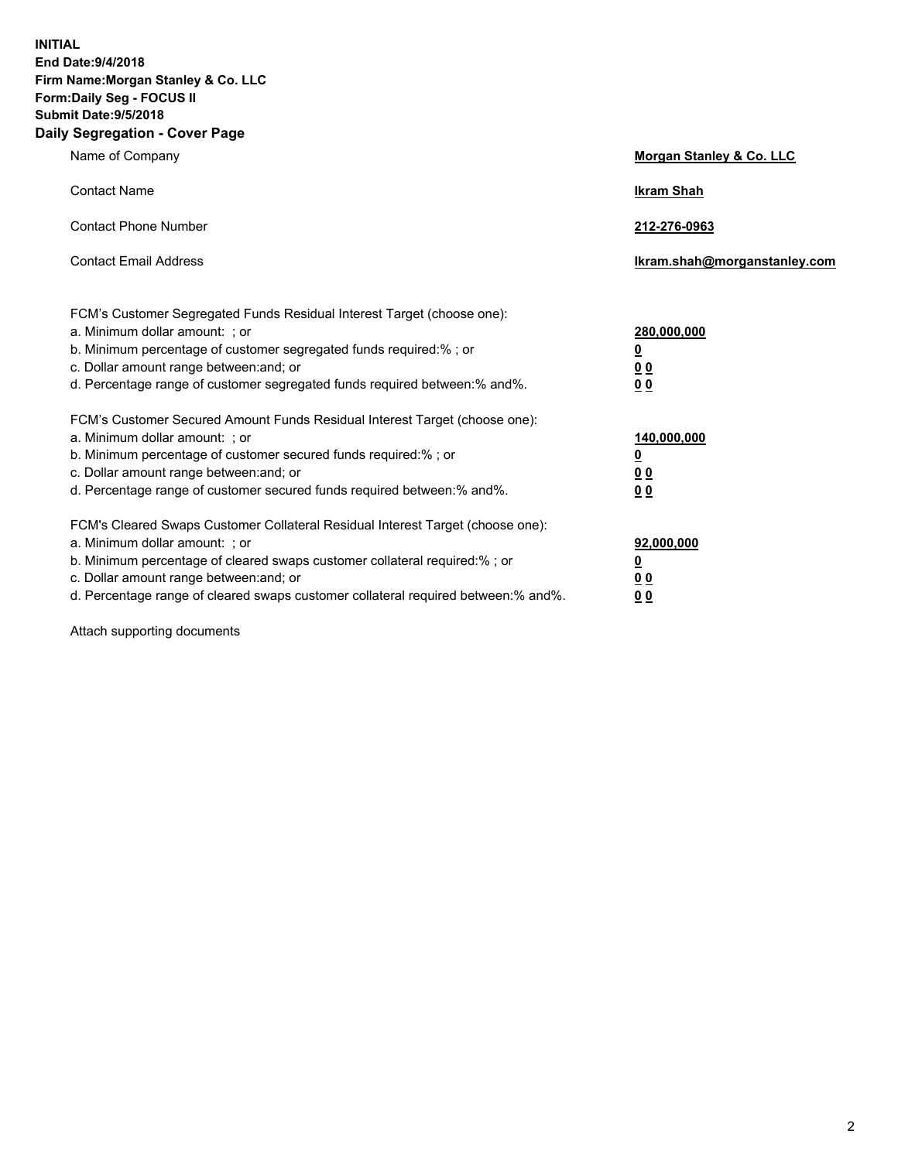**INITIAL End Date:9/4/2018 Firm Name:Morgan Stanley & Co. LLC Form:Daily Seg - FOCUS II Submit Date:9/5/2018 Daily Segregation - Cover Page**

| Name of Company                                                                                                                                                                                                                                                                                                                | Morgan Stanley & Co. LLC                                    |
|--------------------------------------------------------------------------------------------------------------------------------------------------------------------------------------------------------------------------------------------------------------------------------------------------------------------------------|-------------------------------------------------------------|
| <b>Contact Name</b>                                                                                                                                                                                                                                                                                                            | <b>Ikram Shah</b>                                           |
| <b>Contact Phone Number</b>                                                                                                                                                                                                                                                                                                    | 212-276-0963                                                |
| <b>Contact Email Address</b>                                                                                                                                                                                                                                                                                                   | Ikram.shah@morganstanley.com                                |
| FCM's Customer Segregated Funds Residual Interest Target (choose one):<br>a. Minimum dollar amount: ; or<br>b. Minimum percentage of customer segregated funds required:% ; or<br>c. Dollar amount range between: and; or<br>d. Percentage range of customer segregated funds required between:% and%.                         | 280,000,000<br><u>0</u><br>0 <sub>0</sub><br>00             |
| FCM's Customer Secured Amount Funds Residual Interest Target (choose one):<br>a. Minimum dollar amount: ; or<br>b. Minimum percentage of customer secured funds required:% ; or<br>c. Dollar amount range between: and; or<br>d. Percentage range of customer secured funds required between:% and%.                           | 140,000,000<br><u>0</u><br>0 <sub>0</sub><br>0 <sub>0</sub> |
| FCM's Cleared Swaps Customer Collateral Residual Interest Target (choose one):<br>a. Minimum dollar amount: ; or<br>b. Minimum percentage of cleared swaps customer collateral required:% ; or<br>c. Dollar amount range between: and; or<br>d. Percentage range of cleared swaps customer collateral required between:% and%. | 92,000,000<br><u>0</u><br>0 Q<br>0 <sub>0</sub>             |

Attach supporting documents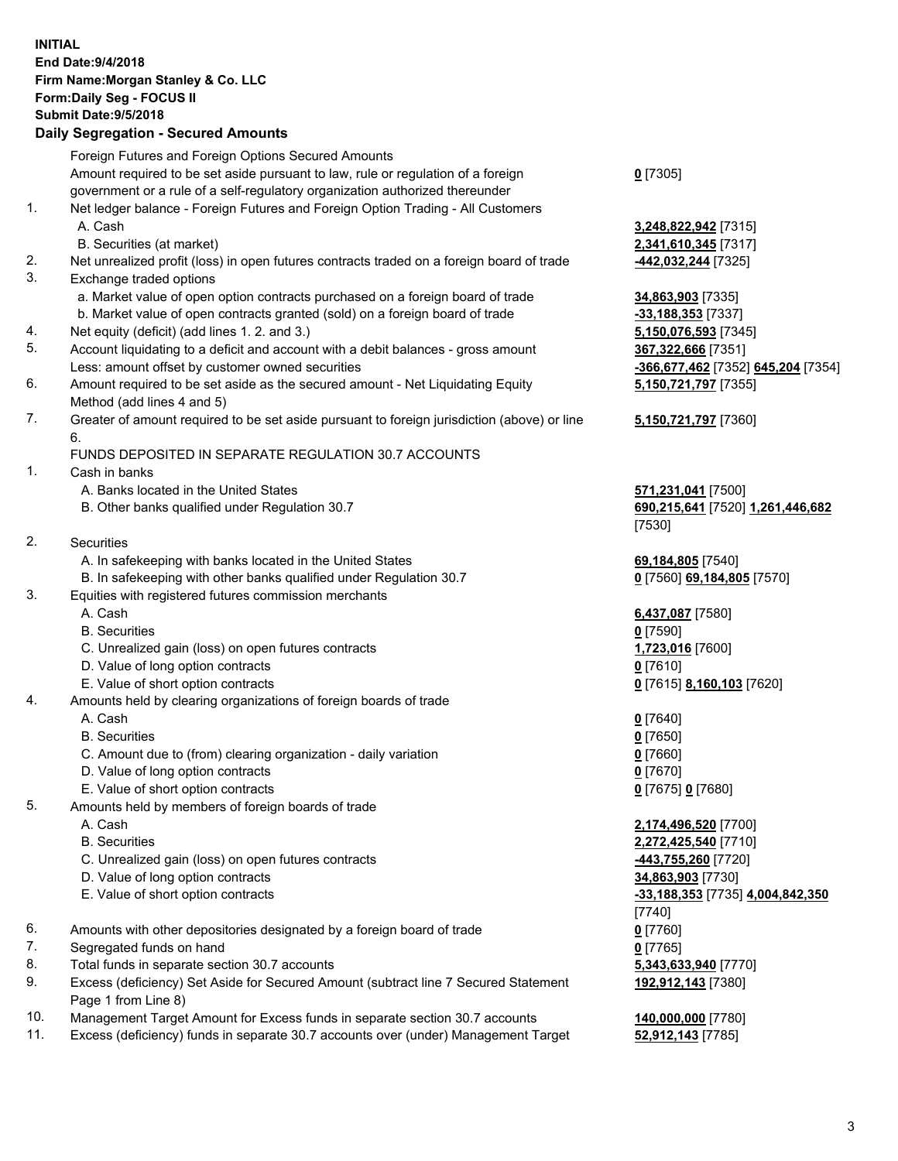## **INITIAL End Date:9/4/2018 Firm Name:Morgan Stanley & Co. LLC Form:Daily Seg - FOCUS II Submit Date:9/5/2018 Daily Segregation - Secured Amounts** Foreign Futures and Foreign Options Secured Amounts Amount required to be set aside pursuant to law, rule or regulation of a foreign government or a rule of a self-regulatory organization authorized thereunder **0** [7305] 1. Net ledger balance - Foreign Futures and Foreign Option Trading - All Customers A. Cash **3,248,822,942** [7315] B. Securities (at market) **2,341,610,345** [7317] 2. Net unrealized profit (loss) in open futures contracts traded on a foreign board of trade **-442,032,244** [7325] 3. Exchange traded options a. Market value of open option contracts purchased on a foreign board of trade **34,863,903** [7335] b. Market value of open contracts granted (sold) on a foreign board of trade **-33,188,353** [7337] 4. Net equity (deficit) (add lines 1. 2. and 3.) **5,150,076,593** [7345] 5. Account liquidating to a deficit and account with a debit balances - gross amount **367,322,666** [7351] Less: amount offset by customer owned securities **-366,677,462** [7352] **645,204** [7354] 6. Amount required to be set aside as the secured amount - Net Liquidating Equity Method (add lines 4 and 5) **5,150,721,797** [7355] 7. Greater of amount required to be set aside pursuant to foreign jurisdiction (above) or line 6. **5,150,721,797** [7360] FUNDS DEPOSITED IN SEPARATE REGULATION 30.7 ACCOUNTS 1. Cash in banks A. Banks located in the United States **571,231,041** [7500] B. Other banks qualified under Regulation 30.7 **690,215,641** [7520] **1,261,446,682** [7530] 2. Securities A. In safekeeping with banks located in the United States **69,184,805** [7540] B. In safekeeping with other banks qualified under Regulation 30.7 **0** [7560] **69,184,805** [7570] 3. Equities with registered futures commission merchants A. Cash **6,437,087** [7580] B. Securities **0** [7590] C. Unrealized gain (loss) on open futures contracts **1,723,016** [7600] D. Value of long option contracts **0** [7610] E. Value of short option contracts **0** [7615] **8,160,103** [7620] 4. Amounts held by clearing organizations of foreign boards of trade A. Cash **0** [7640] B. Securities **0** [7650] C. Amount due to (from) clearing organization - daily variation **0** [7660] D. Value of long option contracts **0** [7670] E. Value of short option contracts **0** [7675] **0** [7680] 5. Amounts held by members of foreign boards of trade A. Cash **2,174,496,520** [7700] B. Securities **2,272,425,540** [7710] C. Unrealized gain (loss) on open futures contracts **-443,755,260** [7720] D. Value of long option contracts **34,863,903** [7730] E. Value of short option contracts **-33,188,353** [7735] **4,004,842,350** [7740] 6. Amounts with other depositories designated by a foreign board of trade **0** [7760] 7. Segregated funds on hand **0** [7765] 8. Total funds in separate section 30.7 accounts **5,343,633,940** [7770] 9. Excess (deficiency) Set Aside for Secured Amount (subtract line 7 Secured Statement Page 1 from Line 8) **192,912,143** [7380] 10. Management Target Amount for Excess funds in separate section 30.7 accounts **140,000,000** [7780]

11. Excess (deficiency) funds in separate 30.7 accounts over (under) Management Target **52,912,143** [7785]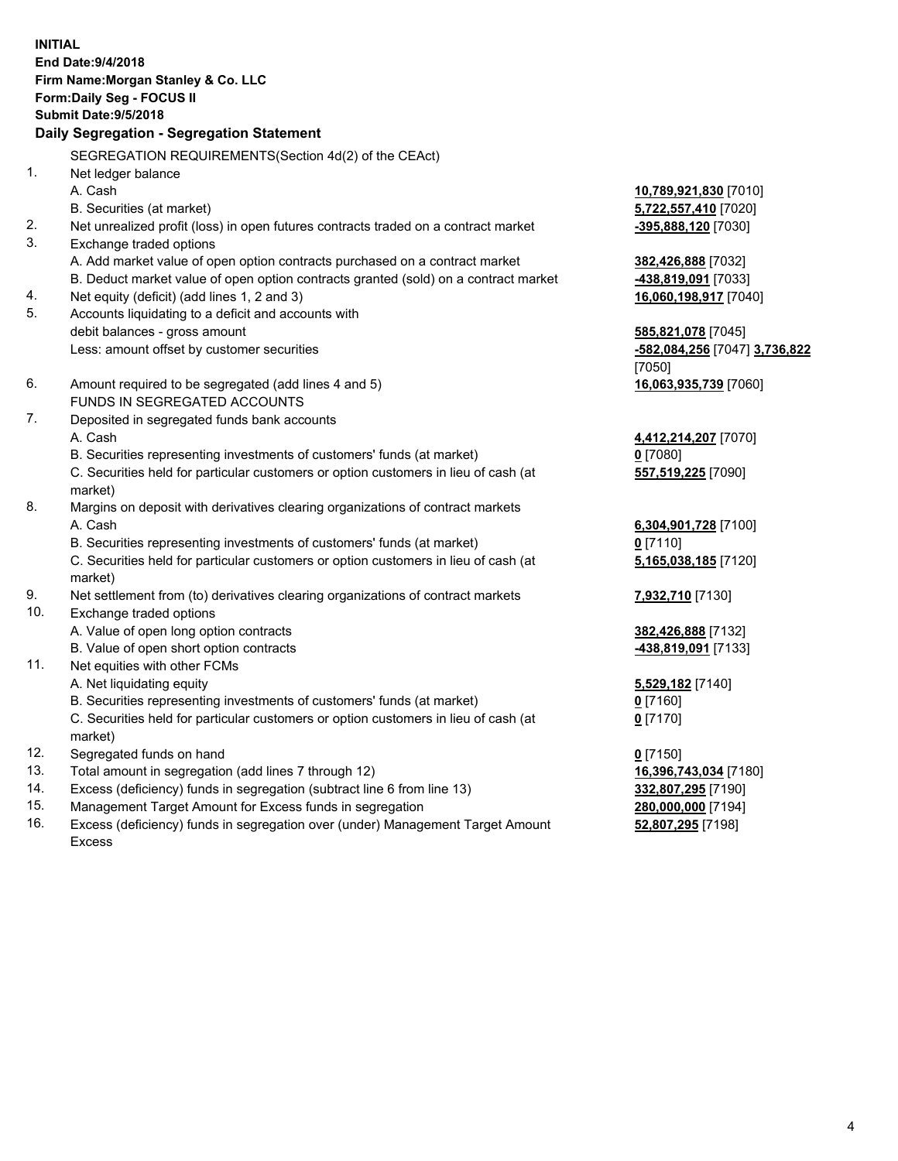|     | <b>INITIAL</b><br>End Date: 9/4/2018<br>Firm Name: Morgan Stanley & Co. LLC<br><b>Form:Daily Seg - FOCUS II</b><br><b>Submit Date: 9/5/2018</b><br>Daily Segregation - Segregation Statement |                                                      |
|-----|----------------------------------------------------------------------------------------------------------------------------------------------------------------------------------------------|------------------------------------------------------|
|     |                                                                                                                                                                                              |                                                      |
| 1.  | SEGREGATION REQUIREMENTS (Section 4d(2) of the CEAct)                                                                                                                                        |                                                      |
|     | Net ledger balance<br>A. Cash                                                                                                                                                                |                                                      |
|     | B. Securities (at market)                                                                                                                                                                    | <u>10,789,921,830</u> [7010]<br>5,722,557,410 [7020] |
| 2.  | Net unrealized profit (loss) in open futures contracts traded on a contract market                                                                                                           |                                                      |
| 3.  | Exchange traded options                                                                                                                                                                      | -395,888,120 [7030]                                  |
|     | A. Add market value of open option contracts purchased on a contract market                                                                                                                  | 382,426,888 [7032]                                   |
|     | B. Deduct market value of open option contracts granted (sold) on a contract market                                                                                                          | <u>-438,819,091</u> [7033]                           |
| 4.  | Net equity (deficit) (add lines 1, 2 and 3)                                                                                                                                                  | 16,060,198,917 [7040]                                |
| 5.  | Accounts liquidating to a deficit and accounts with                                                                                                                                          |                                                      |
|     | debit balances - gross amount                                                                                                                                                                | 585,821,078 [7045]                                   |
|     | Less: amount offset by customer securities                                                                                                                                                   | -582,084,256 [7047] 3,736,822                        |
|     |                                                                                                                                                                                              | [7050]                                               |
| 6.  | Amount required to be segregated (add lines 4 and 5)                                                                                                                                         | 16,063,935,739 [7060]                                |
|     | FUNDS IN SEGREGATED ACCOUNTS                                                                                                                                                                 |                                                      |
| 7.  | Deposited in segregated funds bank accounts                                                                                                                                                  |                                                      |
|     | A. Cash                                                                                                                                                                                      | 4,412,214,207 [7070]                                 |
|     | B. Securities representing investments of customers' funds (at market)                                                                                                                       | $0$ [7080]                                           |
|     | C. Securities held for particular customers or option customers in lieu of cash (at                                                                                                          | 557,519,225 [7090]                                   |
|     | market)                                                                                                                                                                                      |                                                      |
| 8.  | Margins on deposit with derivatives clearing organizations of contract markets                                                                                                               |                                                      |
|     | A. Cash                                                                                                                                                                                      | 6,304,901,728 [7100]                                 |
|     | B. Securities representing investments of customers' funds (at market)                                                                                                                       | $0$ [7110]                                           |
|     | C. Securities held for particular customers or option customers in lieu of cash (at                                                                                                          | 5,165,038,185 [7120]                                 |
|     | market)                                                                                                                                                                                      |                                                      |
| 9.  | Net settlement from (to) derivatives clearing organizations of contract markets                                                                                                              | 7,932,710 [7130]                                     |
| 10. | Exchange traded options                                                                                                                                                                      |                                                      |
|     | A. Value of open long option contracts                                                                                                                                                       | 382,426,888 [7132]                                   |
|     | B. Value of open short option contracts                                                                                                                                                      | <u>-438,819,091</u> [7133]                           |
| 11. | Net equities with other FCMs                                                                                                                                                                 |                                                      |
|     | A. Net liquidating equity                                                                                                                                                                    | 5,529,182 [7140]                                     |
|     | B. Securities representing investments of customers' funds (at market)                                                                                                                       | $0$ [7160]                                           |
|     | C. Securities held for particular customers or option customers in lieu of cash (at                                                                                                          | $0$ [7170]                                           |
|     | market)                                                                                                                                                                                      |                                                      |
| 12. | Segregated funds on hand                                                                                                                                                                     | 0[7150]                                              |
| 13. | Total amount in segregation (add lines 7 through 12)                                                                                                                                         | 16,396,743,034 [7180]                                |
| 14. | Excess (deficiency) funds in segregation (subtract line 6 from line 13)                                                                                                                      | 332,807,295 [7190]                                   |

- 
- 15. Management Target Amount for Excess funds in segregation<br>16. Excess (deficiency) funds in segregation over (under) Management Target Amount **280,000,000** [7198] Excess (deficiency) funds in segregation over (under) Management Target Amount Excess

**52,807,295** [7198]